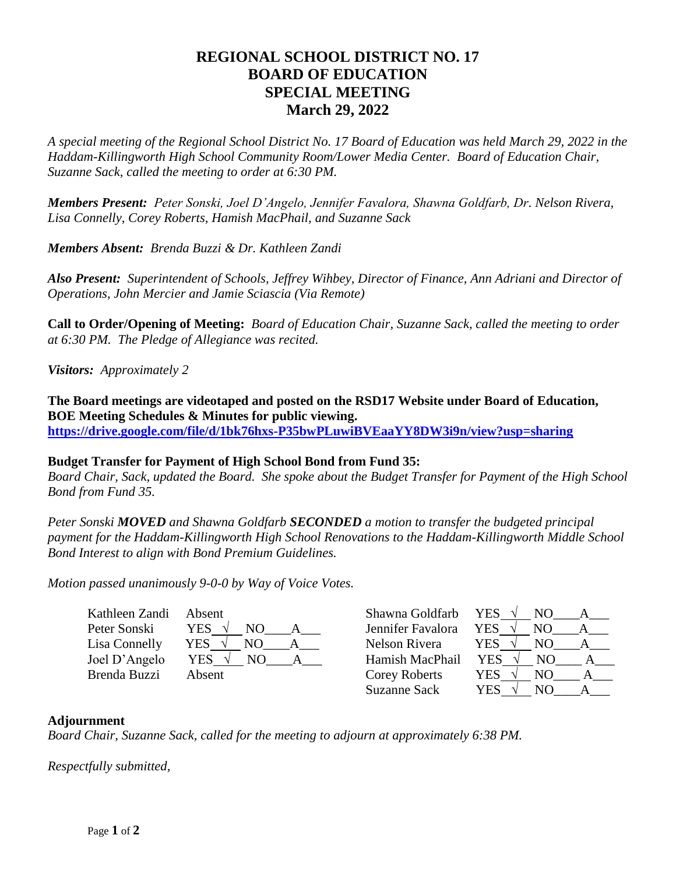## **REGIONAL SCHOOL DISTRICT NO. 17 BOARD OF EDUCATION SPECIAL MEETING March 29, 2022**

*A special meeting of the Regional School District No. 17 Board of Education was held March 29, 2022 in the Haddam-Killingworth High School Community Room/Lower Media Center. Board of Education Chair, Suzanne Sack, called the meeting to order at 6:30 PM.*

*Members Present: Peter Sonski, Joel D'Angelo, Jennifer Favalora, Shawna Goldfarb, Dr. Nelson Rivera, Lisa Connelly, Corey Roberts, Hamish MacPhail, and Suzanne Sack*

*Members Absent: Brenda Buzzi & Dr. Kathleen Zandi*

*Also Present: Superintendent of Schools, Jeffrey Wihbey, Director of Finance, Ann Adriani and Director of Operations, John Mercier and Jamie Sciascia (Via Remote)*

**Call to Order/Opening of Meeting:** *Board of Education Chair, Suzanne Sack, called the meeting to order at 6:30 PM. The Pledge of Allegiance was recited.* 

*Visitors: Approximately 2*

**The Board meetings are videotaped and posted on the RSD17 Website under Board of Education, BOE Meeting Schedules & Minutes for public viewing. <https://drive.google.com/file/d/1bk76hxs-P35bwPLuwiBVEaaYY8DW3i9n/view?usp=sharing>**

## **Budget Transfer for Payment of High School Bond from Fund 35:**

*Board Chair, Sack, updated the Board. She spoke about the Budget Transfer for Payment of the High School Bond from Fund 35.*

*Peter Sonski MOVED and Shawna Goldfarb SECONDED a motion to transfer the budgeted principal payment for the Haddam-Killingworth High School Renovations to the Haddam-Killingworth Middle School Bond Interest to align with Bond Premium Guidelines.*

*Motion passed unanimously 9-0-0 by Way of Voice Votes.*

| Kathleen Zandi | Absent     |     |  |
|----------------|------------|-----|--|
| Peter Sonski   | <b>YES</b> | NO. |  |
| Lisa Connelly  | <b>YES</b> | NO. |  |
| Joel D'Angelo  | <b>YES</b> | NО  |  |
| Brenda Buzzi   | Absent     |     |  |
|                |            |     |  |

| Absent      | Shawna Goldfarb     | <b>YES</b><br>NO. |
|-------------|---------------------|-------------------|
| YES         | Jennifer Favalora   | YES<br>NO.        |
| YES<br>NO   | Nelson Rivera       | YES<br>NО         |
| YES.<br>NO. | Hamish MacPhail     | <b>YES</b><br>NO. |
| Absent      | Corey Roberts       | YES<br>NO.        |
|             | <b>Suzanne Sack</b> | YES<br>NО         |
|             |                     |                   |

## **Adjournment**

*Board Chair, Suzanne Sack, called for the meeting to adjourn at approximately 6:38 PM.*

*Respectfully submitted,*